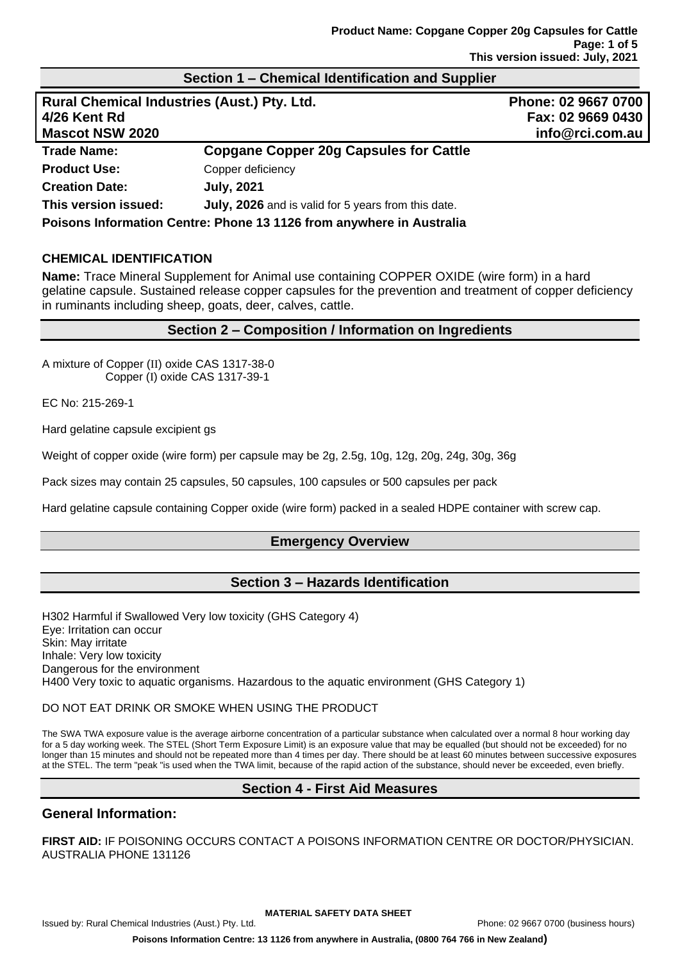# **Section 1 – Chemical Identification and Supplier**

| Rural Chemical Industries (Aust.) Pty. Ltd.                          |                                                     | Phone: 02 9667 0700 |
|----------------------------------------------------------------------|-----------------------------------------------------|---------------------|
| 4/26 Kent Rd                                                         |                                                     | Fax: 02 9669 0430   |
| <b>Mascot NSW 2020</b>                                               |                                                     | info@rci.com.au     |
| <b>Trade Name:</b>                                                   | <b>Copgane Copper 20g Capsules for Cattle</b>       |                     |
| <b>Product Use:</b>                                                  | Copper deficiency                                   |                     |
| <b>Creation Date:</b>                                                | <b>July, 2021</b>                                   |                     |
| This version issued:                                                 | July, 2026 and is valid for 5 years from this date. |                     |
| Poisons Information Centre: Phone 13 1126 from anywhere in Australia |                                                     |                     |

### **CHEMICAL IDENTIFICATION**

**Name:** Trace Mineral Supplement for Animal use containing COPPER OXIDE (wire form) in a hard gelatine capsule. Sustained release copper capsules for the prevention and treatment of copper deficiency in ruminants including sheep, goats, deer, calves, cattle.

### **Section 2 – Composition / Information on Ingredients**

A mixture of Copper (II) oxide CAS 1317-38-0 Copper (I) oxide CAS 1317-39-1

EC No: 215-269-1

Hard gelatine capsule excipient gs

Weight of copper oxide (wire form) per capsule may be 2g, 2.5g, 10g, 12g, 20g, 24g, 30g, 36g

Pack sizes may contain 25 capsules, 50 capsules, 100 capsules or 500 capsules per pack

Hard gelatine capsule containing Copper oxide (wire form) packed in a sealed HDPE container with screw cap.

### **Emergency Overview**

## **Section 3 – Hazards Identification**

H302 Harmful if Swallowed Very low toxicity (GHS Category 4) Eye: Irritation can occur Skin: May irritate Inhale: Very low toxicity Dangerous for the environment H400 Very toxic to aquatic organisms. Hazardous to the aquatic environment (GHS Category 1)

### DO NOT EAT DRINK OR SMOKE WHEN USING THE PRODUCT

The SWA TWA exposure value is the average airborne concentration of a particular substance when calculated over a normal 8 hour working day for a 5 day working week. The STEL (Short Term Exposure Limit) is an exposure value that may be equalled (but should not be exceeded) for no longer than 15 minutes and should not be repeated more than 4 times per day. There should be at least 60 minutes between successive exposures at the STEL. The term "peak "is used when the TWA limit, because of the rapid action of the substance, should never be exceeded, even briefly.

## **Section 4 - First Aid Measures**

## **General Information:**

**FIRST AID:** IF POISONING OCCURS CONTACT A POISONS INFORMATION CENTRE OR DOCTOR/PHYSICIAN. AUSTRALIA PHONE 131126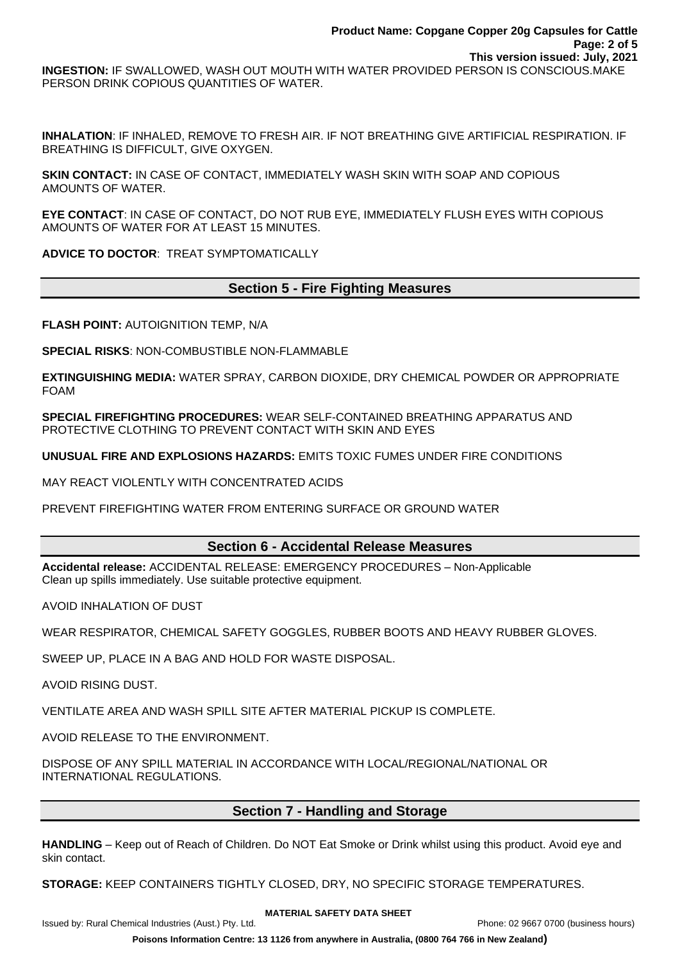**INGESTION:** IF SWALLOWED, WASH OUT MOUTH WITH WATER PROVIDED PERSON IS CONSCIOUS.MAKE PERSON DRINK COPIOUS QUANTITIES OF WATER.

**INHALATION**: IF INHALED, REMOVE TO FRESH AIR. IF NOT BREATHING GIVE ARTIFICIAL RESPIRATION. IF BREATHING IS DIFFICULT, GIVE OXYGEN.

**SKIN CONTACT:** IN CASE OF CONTACT, IMMEDIATELY WASH SKIN WITH SOAP AND COPIOUS AMOUNTS OF WATER.

**EYE CONTACT**: IN CASE OF CONTACT, DO NOT RUB EYE, IMMEDIATELY FLUSH EYES WITH COPIOUS AMOUNTS OF WATER FOR AT LEAST 15 MINUTES.

**ADVICE TO DOCTOR**: TREAT SYMPTOMATICALLY

# **Section 5 - Fire Fighting Measures**

**FLASH POINT:** AUTOIGNITION TEMP, N/A

**SPECIAL RISKS**: NON-COMBUSTIBLE NON-FLAMMABLE

**EXTINGUISHING MEDIA:** WATER SPRAY, CARBON DIOXIDE, DRY CHEMICAL POWDER OR APPROPRIATE FOAM

**SPECIAL FIREFIGHTING PROCEDURES:** WEAR SELF-CONTAINED BREATHING APPARATUS AND PROTECTIVE CLOTHING TO PREVENT CONTACT WITH SKIN AND EYES

**UNUSUAL FIRE AND EXPLOSIONS HAZARDS:** EMITS TOXIC FUMES UNDER FIRE CONDITIONS

MAY REACT VIOLENTLY WITH CONCENTRATED ACIDS

PREVENT FIREFIGHTING WATER FROM ENTERING SURFACE OR GROUND WATER

## **Section 6 - Accidental Release Measures**

**Accidental release:** ACCIDENTAL RELEASE: EMERGENCY PROCEDURES – Non-Applicable Clean up spills immediately. Use suitable protective equipment.

AVOID INHALATION OF DUST

WEAR RESPIRATOR, CHEMICAL SAFETY GOGGLES, RUBBER BOOTS AND HEAVY RUBBER GLOVES.

SWEEP UP, PLACE IN A BAG AND HOLD FOR WASTE DISPOSAL.

AVOID RISING DUST.

VENTILATE AREA AND WASH SPILL SITE AFTER MATERIAL PICKUP IS COMPLETE.

AVOID RELEASE TO THE ENVIRONMENT.

DISPOSE OF ANY SPILL MATERIAL IN ACCORDANCE WITH LOCAL/REGIONAL/NATIONAL OR INTERNATIONAL REGULATIONS.

## **Section 7 - Handling and Storage**

**HANDLING** – Keep out of Reach of Children. Do NOT Eat Smoke or Drink whilst using this product. Avoid eye and skin contact.

**STORAGE:** KEEP CONTAINERS TIGHTLY CLOSED, DRY, NO SPECIFIC STORAGE TEMPERATURES.

#### **MATERIAL SAFETY DATA SHEET**

Issued by: Rural Chemical Industries (Aust.) Pty. Ltd. Phone: 02 9667 0700 (business hours)

**Poisons Information Centre: 13 1126 from anywhere in Australia, (0800 764 766 in New Zealand)**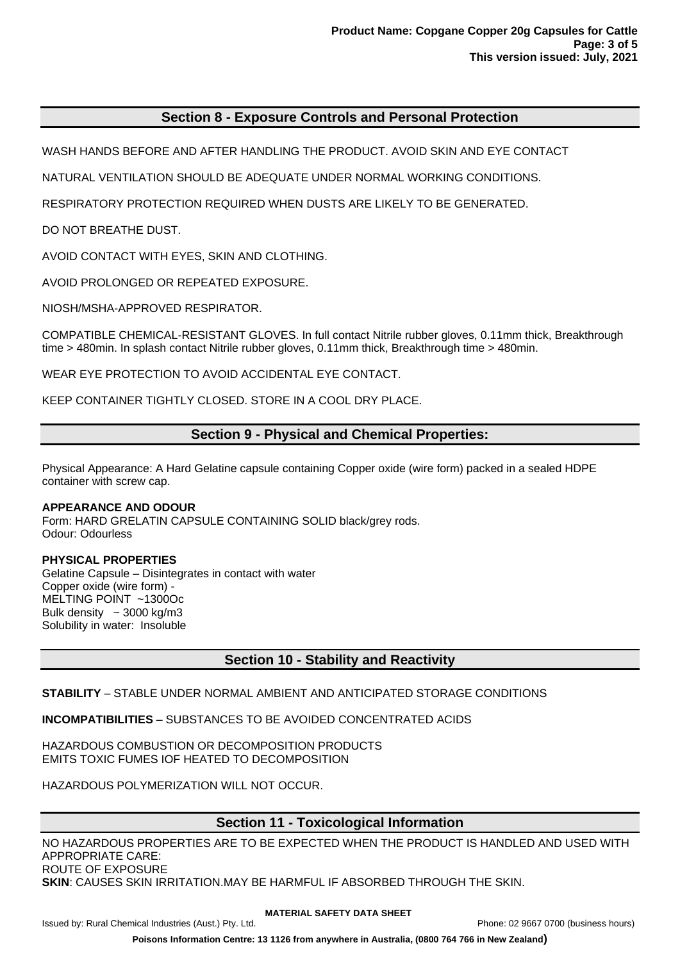## **Section 8 - Exposure Controls and Personal Protection**

WASH HANDS BEFORE AND AFTER HANDLING THE PRODUCT. AVOID SKIN AND EYE CONTACT

NATURAL VENTILATION SHOULD BE ADEQUATE UNDER NORMAL WORKING CONDITIONS.

RESPIRATORY PROTECTION REQUIRED WHEN DUSTS ARE LIKELY TO BE GENERATED.

DO NOT BREATHE DUST.

AVOID CONTACT WITH EYES, SKIN AND CLOTHING.

AVOID PROLONGED OR REPEATED EXPOSURE.

NIOSH/MSHA-APPROVED RESPIRATOR.

COMPATIBLE CHEMICAL-RESISTANT GLOVES. In full contact Nitrile rubber gloves, 0.11mm thick, Breakthrough time > 480min. In splash contact Nitrile rubber gloves, 0.11mm thick, Breakthrough time > 480min.

WEAR EYE PROTECTION TO AVOID ACCIDENTAL EYE CONTACT.

KEEP CONTAINER TIGHTLY CLOSED. STORE IN A COOL DRY PLACE.

## **Section 9 - Physical and Chemical Properties:**

Physical Appearance: A Hard Gelatine capsule containing Copper oxide (wire form) packed in a sealed HDPE container with screw cap.

#### **APPEARANCE AND ODOUR**

Form: HARD GRELATIN CAPSULE CONTAINING SOLID black/grey rods. Odour: Odourless

### **PHYSICAL PROPERTIES**

Gelatine Capsule – Disintegrates in contact with water Copper oxide (wire form) - MELTING POINT ~1300Oc Bulk density  $\sim$  3000 kg/m3 Solubility in water: Insoluble

## **Section 10 - Stability and Reactivity**

### **STABILITY** – STABLE UNDER NORMAL AMBIENT AND ANTICIPATED STORAGE CONDITIONS

**INCOMPATIBILITIES** – SUBSTANCES TO BE AVOIDED CONCENTRATED ACIDS

HAZARDOUS COMBUSTION OR DECOMPOSITION PRODUCTS EMITS TOXIC FUMES IOF HEATED TO DECOMPOSITION

HAZARDOUS POLYMERIZATION WILL NOT OCCUR.

# **Section 11 - Toxicological Information**

NO HAZARDOUS PROPERTIES ARE TO BE EXPECTED WHEN THE PRODUCT IS HANDLED AND USED WITH APPROPRIATE CARE: ROUTE OF EXPOSURE

**SKIN**: CAUSES SKIN IRRITATION.MAY BE HARMFUL IF ABSORBED THROUGH THE SKIN.

#### **MATERIAL SAFETY DATA SHEET**

Issued by: Rural Chemical Industries (Aust.) Pty. Ltd. Phone: 02 9667 0700 (business hours)

**Poisons Information Centre: 13 1126 from anywhere in Australia, (0800 764 766 in New Zealand)**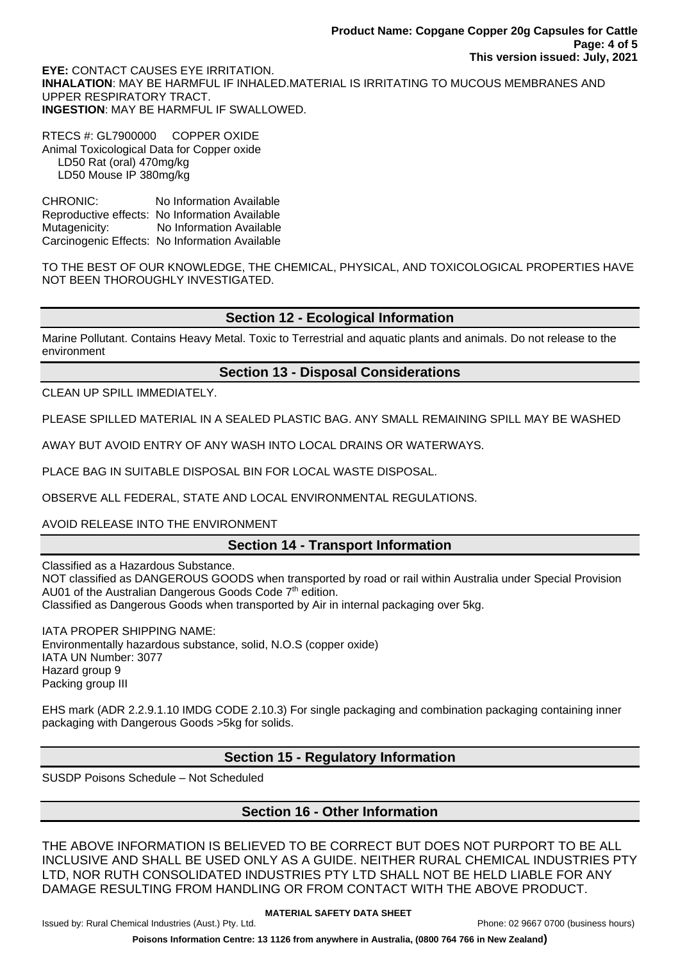**EYE:** CONTACT CAUSES EYE IRRITATION. **INHALATION**: MAY BE HARMFUL IF INHALED.MATERIAL IS IRRITATING TO MUCOUS MEMBRANES AND UPPER RESPIRATORY TRACT. **INGESTION**: MAY BE HARMFUL IF SWALLOWED.

RTECS #: GL7900000 COPPER OXIDE Animal Toxicological Data for Copper oxide LD50 Rat (oral) 470mg/kg LD50 Mouse IP 380mg/kg

CHRONIC: No Information Available Reproductive effects: No Information Available Mutagenicity: No Information Available Carcinogenic Effects: No Information Available

TO THE BEST OF OUR KNOWLEDGE, THE CHEMICAL, PHYSICAL, AND TOXICOLOGICAL PROPERTIES HAVE NOT BEEN THOROUGHLY INVESTIGATED.

# **Section 12 - Ecological Information**

Marine Pollutant. Contains Heavy Metal. Toxic to Terrestrial and aquatic plants and animals. Do not release to the environment

## **Section 13 - Disposal Considerations**

CLEAN UP SPILL IMMEDIATELY.

PLEASE SPILLED MATERIAL IN A SEALED PLASTIC BAG. ANY SMALL REMAINING SPILL MAY BE WASHED

AWAY BUT AVOID ENTRY OF ANY WASH INTO LOCAL DRAINS OR WATERWAYS.

PLACE BAG IN SUITABLE DISPOSAL BIN FOR LOCAL WASTE DISPOSAL.

OBSERVE ALL FEDERAL, STATE AND LOCAL ENVIRONMENTAL REGULATIONS.

## AVOID RELEASE INTO THE ENVIRONMENT

# **Section 14 - Transport Information**

Classified as a Hazardous Substance. NOT classified as DANGEROUS GOODS when transported by road or rail within Australia under Special Provision AU01 of the Australian Dangerous Goods Code 7<sup>th</sup> edition. Classified as Dangerous Goods when transported by Air in internal packaging over 5kg.

IATA PROPER SHIPPING NAME: Environmentally hazardous substance, solid, N.O.S (copper oxide) IATA UN Number: 3077 Hazard group 9 Packing group III

EHS mark (ADR 2.2.9.1.10 IMDG CODE 2.10.3) For single packaging and combination packaging containing inner packaging with Dangerous Goods >5kg for solids.

# **Section 15 - Regulatory Information**

SUSDP Poisons Schedule – Not Scheduled

# **Section 16 - Other Information**

THE ABOVE INFORMATION IS BELIEVED TO BE CORRECT BUT DOES NOT PURPORT TO BE ALL INCLUSIVE AND SHALL BE USED ONLY AS A GUIDE. NEITHER RURAL CHEMICAL INDUSTRIES PTY LTD, NOR RUTH CONSOLIDATED INDUSTRIES PTY LTD SHALL NOT BE HELD LIABLE FOR ANY DAMAGE RESULTING FROM HANDLING OR FROM CONTACT WITH THE ABOVE PRODUCT.

**Poisons Information Centre: 13 1126 from anywhere in Australia, (0800 764 766 in New Zealand)**